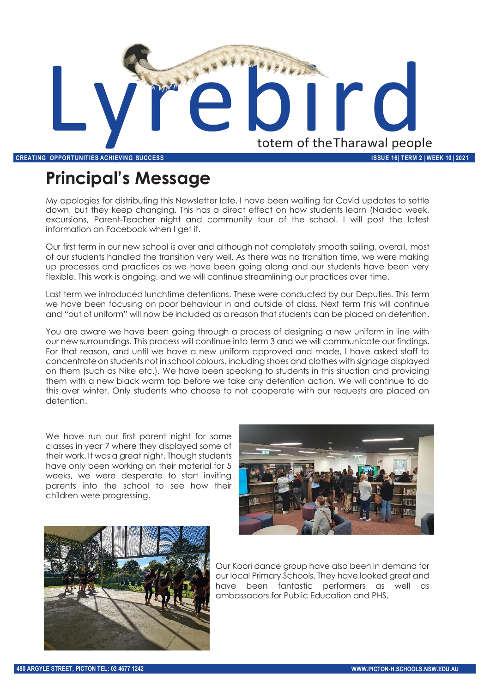

# **Principal's Message**

My apologies for distributing this Newsletter late. I have been waiting for Covid updates to settle down, but they keep changing. This has a direct effect on how students learn (Naidoc week, excursions, Parent-Teacher night and community tour of the school. I will post the latest information on Facebook when I get it.

Our first term in our new school is over and although not completely smooth sailing, overall, most of our students handled the transition very well. As there was no transition time, we were making up processes and practices as we have been going along and our students have been very flexible. This work is ongoing, and we will continue streamlining our practices over time.

Last term we introduced lunchtime detentions. These were conducted by our Deputies. This term we have been focusing on poor behaviour in and outside of class. Next term this will continue and "out of uniform" will now be included as a reason that students can be placed on detention.

You are aware we have been going through a process of designing a new uniform in line with our new surroundings. This process will continue into term 3 and we will communicate our findings. For that reason, and until we have a new uniform approved and made, I have asked staff to concentrate on students not in school colours, including shoes and clothes with signage displayed on them (such as Nike etc.). We have been speaking to students in this situation and providing them with a new black warm top before we take any detention action. We will continue to do this over winter. Only students who choose to not cooperate with our requests are placed on detention.

We have run our first parent night for some classes in year 7 where they displayed some of their work. It was a great night. Though students have only been working on their material for 5 weeks, we were desperate to start inviting parents into the school to see how their children were progressing.





Our Koori dance group have also been in demand for our local Primary Schools. They have looked great and have been fantastic performers as well as ambassadors for Public Education and PHS.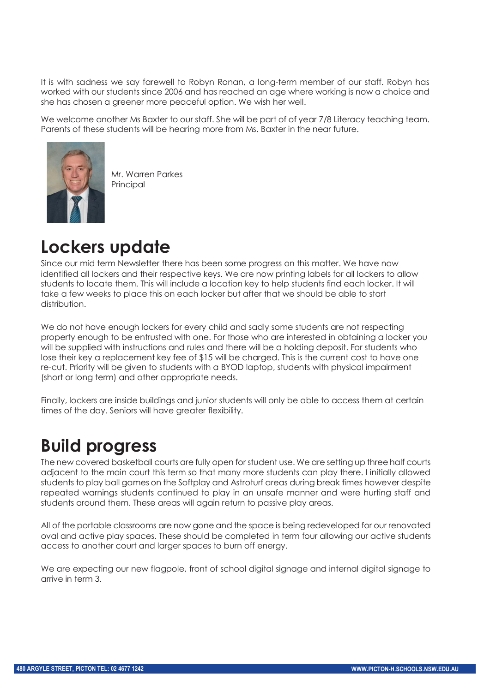It is with sadness we say farewell to Robyn Ronan, a long-term member of our staff. Robyn has worked with our students since 2006 and has reached an age where working is now a choice and she has chosen a greener more peaceful option. We wish her well.

We welcome another Ms Baxter to our staff. She will be part of of year 7/8 Literacy teaching team. Parents of these students will be hearing more from Ms. Baxter in the near future.



Mr. Warren Parkes Principal

## **Lockers update**

Since our mid term Newsletter there has been some progress on this matter. We have now identified all lockers and their respective keys. We are now printing labels for all lockers to allow students to locate them. This will include a location key to help students find each locker. It will take a few weeks to place this on each locker but after that we should be able to start distribution.

We do not have enough lockers for every child and sadly some students are not respecting property enough to be entrusted with one. For those who are interested in obtaining a locker you will be supplied with instructions and rules and there will be a holding deposit. For students who lose their key a replacement key fee of \$15 will be charged. This is the current cost to have one re-cut. Priority will be given to students with a BYOD laptop, students with physical impairment (short or long term) and other appropriate needs.

Finally, lockers are inside buildings and junior students will only be able to access them at certain times of the day. Seniors will have greater flexibility.

## **Build progress**

The new covered basketball courts are fully open for student use. We are setting up three half courts adjacent to the main court this term so that many more students can play there. I initially allowed students to play ball games on the Softplay and Astroturf areas during break times however despite repeated warnings students continued to play in an unsafe manner and were hurting staff and students around them. These areas will again return to passive play areas.

All of the portable classrooms are now gone and the space is being redeveloped for our renovated oval and active play spaces. These should be completed in term four allowing our active students access to another court and larger spaces to burn off energy.

We are expecting our new flagpole, front of school digital signage and internal digital signage to arrive in term 3.